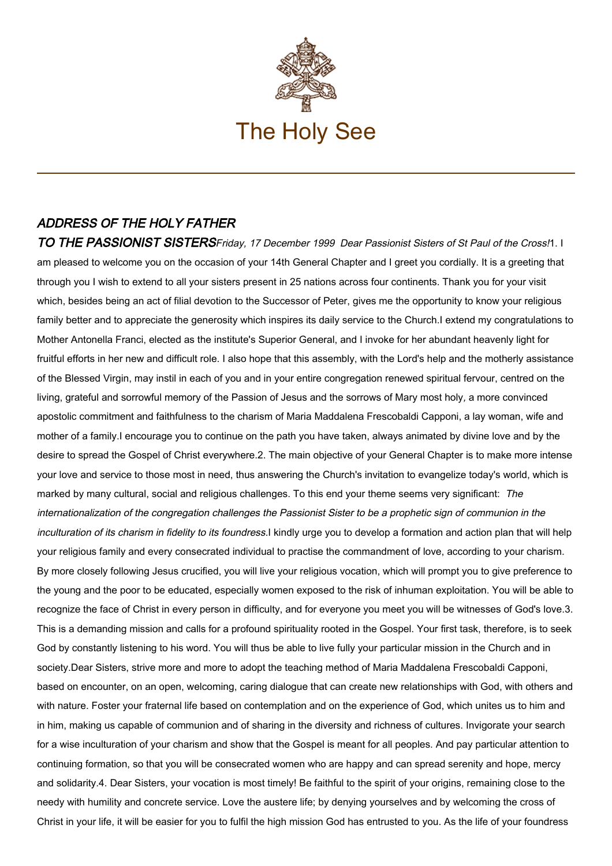

## ADDRESS OF THE HOLY FATHER

TO THE PASSIONIST SISTERSFriday, 17 December 1999 Dear Passionist Sisters of St Paul of the Cross!1. I am pleased to welcome you on the occasion of your 14th General Chapter and I greet you cordially. It is a greeting that through you I wish to extend to all your sisters present in 25 nations across four continents. Thank you for your visit which, besides being an act of filial devotion to the Successor of Peter, gives me the opportunity to know your religious family better and to appreciate the generosity which inspires its daily service to the Church.I extend my congratulations to Mother Antonella Franci, elected as the institute's Superior General, and I invoke for her abundant heavenly light for fruitful efforts in her new and difficult role. I also hope that this assembly, with the Lord's help and the motherly assistance of the Blessed Virgin, may instil in each of you and in your entire congregation renewed spiritual fervour, centred on the living, grateful and sorrowful memory of the Passion of Jesus and the sorrows of Mary most holy, a more convinced apostolic commitment and faithfulness to the charism of Maria Maddalena Frescobaldi Capponi, a lay woman, wife and mother of a family.I encourage you to continue on the path you have taken, always animated by divine love and by the desire to spread the Gospel of Christ everywhere.2. The main objective of your General Chapter is to make more intense your love and service to those most in need, thus answering the Church's invitation to evangelize today's world, which is marked by many cultural, social and religious challenges. To this end your theme seems very significant: The internationalization of the congregation challenges the Passionist Sister to be a prophetic sign of communion in the inculturation of its charism in fidelity to its foundress.I kindly urge you to develop a formation and action plan that will help your religious family and every consecrated individual to practise the commandment of love, according to your charism. By more closely following Jesus crucified, you will live your religious vocation, which will prompt you to give preference to the young and the poor to be educated, especially women exposed to the risk of inhuman exploitation. You will be able to recognize the face of Christ in every person in difficulty, and for everyone you meet you will be witnesses of God's love.3. This is a demanding mission and calls for a profound spirituality rooted in the Gospel. Your first task, therefore, is to seek God by constantly listening to his word. You will thus be able to live fully your particular mission in the Church and in society.Dear Sisters, strive more and more to adopt the teaching method of Maria Maddalena Frescobaldi Capponi, based on encounter, on an open, welcoming, caring dialogue that can create new relationships with God, with others and with nature. Foster your fraternal life based on contemplation and on the experience of God, which unites us to him and in him, making us capable of communion and of sharing in the diversity and richness of cultures. Invigorate your search for a wise inculturation of your charism and show that the Gospel is meant for all peoples. And pay particular attention to continuing formation, so that you will be consecrated women who are happy and can spread serenity and hope, mercy and solidarity.4. Dear Sisters, your vocation is most timely! Be faithful to the spirit of your origins, remaining close to the needy with humility and concrete service. Love the austere life; by denying yourselves and by welcoming the cross of Christ in your life, it will be easier for you to fulfil the high mission God has entrusted to you. As the life of your foundress